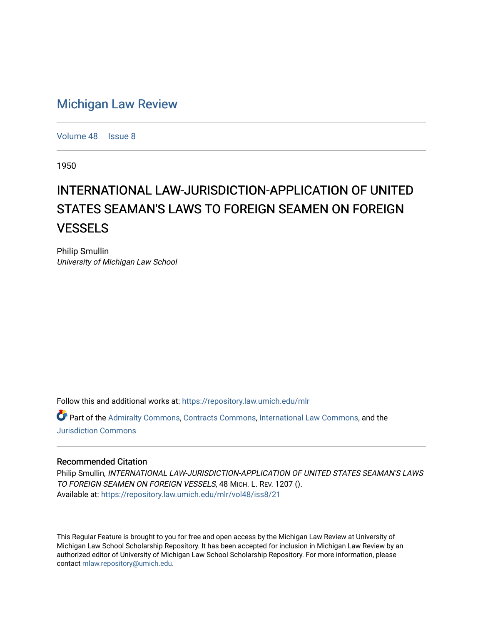## [Michigan Law Review](https://repository.law.umich.edu/mlr)

[Volume 48](https://repository.law.umich.edu/mlr/vol48) | [Issue 8](https://repository.law.umich.edu/mlr/vol48/iss8)

1950

## INTERNATIONAL LAW-JURISDICTION-APPLICATION OF UNITED STATES SEAMAN'S LAWS TO FOREIGN SEAMEN ON FOREIGN **VESSELS**

Philip Smullin University of Michigan Law School

Follow this and additional works at: [https://repository.law.umich.edu/mlr](https://repository.law.umich.edu/mlr?utm_source=repository.law.umich.edu%2Fmlr%2Fvol48%2Fiss8%2F21&utm_medium=PDF&utm_campaign=PDFCoverPages) 

Part of the [Admiralty Commons](http://network.bepress.com/hgg/discipline/580?utm_source=repository.law.umich.edu%2Fmlr%2Fvol48%2Fiss8%2F21&utm_medium=PDF&utm_campaign=PDFCoverPages), [Contracts Commons,](http://network.bepress.com/hgg/discipline/591?utm_source=repository.law.umich.edu%2Fmlr%2Fvol48%2Fiss8%2F21&utm_medium=PDF&utm_campaign=PDFCoverPages) [International Law Commons](http://network.bepress.com/hgg/discipline/609?utm_source=repository.law.umich.edu%2Fmlr%2Fvol48%2Fiss8%2F21&utm_medium=PDF&utm_campaign=PDFCoverPages), and the [Jurisdiction Commons](http://network.bepress.com/hgg/discipline/850?utm_source=repository.law.umich.edu%2Fmlr%2Fvol48%2Fiss8%2F21&utm_medium=PDF&utm_campaign=PDFCoverPages) 

## Recommended Citation

Philip Smullin, INTERNATIONAL LAW-JURISDICTION-APPLICATION OF UNITED STATES SEAMAN'S LAWS TO FOREIGN SEAMEN ON FOREIGN VESSELS, 48 MICH. L. REV. 1207 (). Available at: [https://repository.law.umich.edu/mlr/vol48/iss8/21](https://repository.law.umich.edu/mlr/vol48/iss8/21?utm_source=repository.law.umich.edu%2Fmlr%2Fvol48%2Fiss8%2F21&utm_medium=PDF&utm_campaign=PDFCoverPages) 

This Regular Feature is brought to you for free and open access by the Michigan Law Review at University of Michigan Law School Scholarship Repository. It has been accepted for inclusion in Michigan Law Review by an authorized editor of University of Michigan Law School Scholarship Repository. For more information, please contact [mlaw.repository@umich.edu](mailto:mlaw.repository@umich.edu).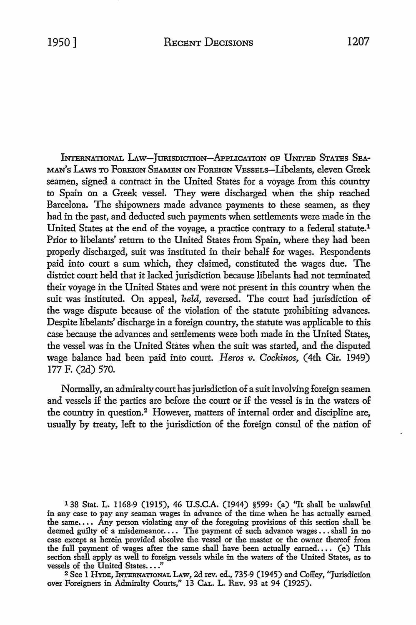INTERNATIONAL LAW-JURISDICTION-APPLICATION OF UNITED STATES SEA-MAN'S LAWS TO FOREIGN SEAMEN ON FOREIGN VESSELS-Libelants, eleven Greek seamen, signed a contract in the United States for a voyage from this country to Spain on a Greek vessel. They were discharged when the ship reached Barcelona. The shipowners made advance payments to these seamen, as they had in the past, and deducted such payments when settlements were made in the United States at the end of the voyage, a practice contrary to a federal statute.<sup>1</sup> Prior to libelants' return to the United States from Spain, where they had been properly discharged, suit was instituted in their behalf for wages. Respondents paid into court a sum which, they claimed, constituted the wages due. The district court held that it lacked jurisdiction because libelants had not terminated their voyage in the United States and were not present in this country when the suit was instituted. On appeal, *held,* reversed. The court had jurisdiction of the wage dispute because of the violation of the statute prohibiting advances. Despite libelants' discharge in a foreign country, the statute was applicable to this case because the advances and settlements were both made in the United States, the vessel was in the United States when the suit was started, and the disputed wage balance had been paid into court. *Heros v. Cockinos*, (4th Cir. 1949) 177 F. (2d) 570.

Normally, an admiralty court has jurisdiction of a suit involving foreign seamen and vessels if the parties are before the court or if the vessel is in the waters of the country in question.2 However, matters of internal order and discipline are, usually by treaty, left to the jurisdiction of the foreign consul of the nation of

138 Stat. L. 1168-9 (1915), 46 U.S.C.A. (1944) §599: (a) "It shall be unlawful in any case to pay any seaman wages in advance of the time when he has actually earned the same. • • • Any person violating any of the foregoing provisions of this section shall be deemed guilty of a misdemeanor.... The payment of such advance wages...shall in no case except as herein provided absolve the vessel or the master or the owner thereof from the full payment of wages after the same shall have been actually earned.... (e) This section shall apply as well to foreign vessels while in the waters of the United States, as to vessels of the United States...."

<sup>2</sup> See 1 HYDE, INTERNATIONAL LAW, 2d rev. ed., 735-9 (1945) and Coffey, "Jurisdiction over Foreigners in Admiralty Courts," 13 CAL. L. REv. 93 at 94 (1925).